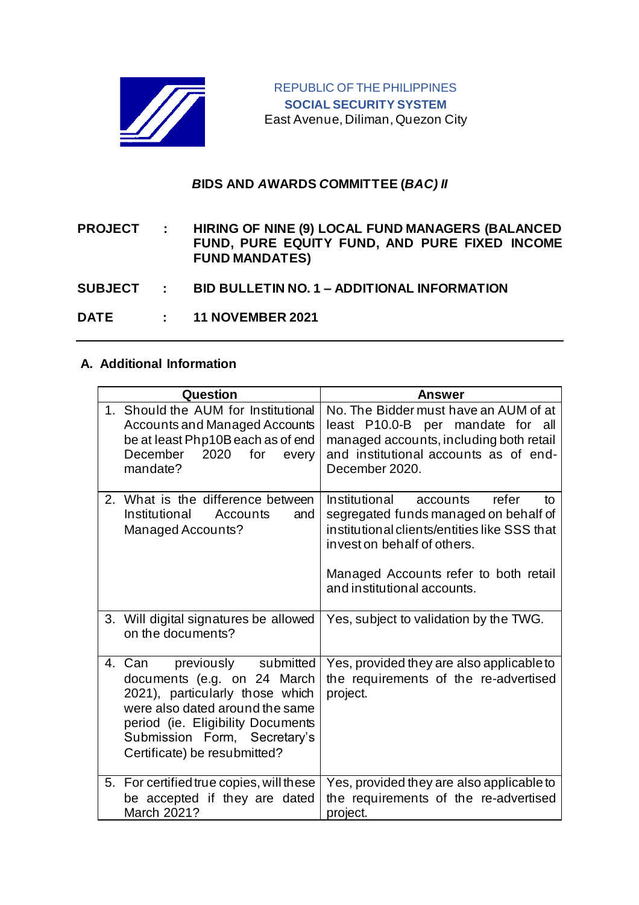

## *B***IDS AND** *A***WARDS** *C***OMMITTEE (***BAC) II*

**PROJECT : HIRING OF NINE (9) LOCAL FUND MANAGERS (BALANCED FUND, PURE EQUITY FUND, AND PURE FIXED INCOME FUND MANDATES)**

**SUBJECT : BID BULLETIN NO. 1 – ADDITIONAL INFORMATION**

**DATE : 11 NOVEMBER 2021**

## **A. Additional Information**

| Question                                                                                                                                                                                                                                 | <b>Answer</b>                                                                                                                                                                                                                            |
|------------------------------------------------------------------------------------------------------------------------------------------------------------------------------------------------------------------------------------------|------------------------------------------------------------------------------------------------------------------------------------------------------------------------------------------------------------------------------------------|
| 1. Should the AUM for Institutional<br><b>Accounts and Managed Accounts</b><br>be at least Php10B each as of end<br>December<br>2020<br>for<br>every<br>mandate?                                                                         | No. The Bidder must have an AUM of at<br>least P10.0-B per mandate for all<br>managed accounts, including both retail<br>and institutional accounts as of end-<br>December 2020.                                                         |
| 2. What is the difference between<br>Institutional<br>Accounts<br>and<br>Managed Accounts?                                                                                                                                               | Institutional<br>refer<br>accounts<br>tο<br>segregated funds managed on behalf of<br>institutional clients/entities like SSS that<br>invest on behalf of others.<br>Managed Accounts refer to both retail<br>and institutional accounts. |
| 3. Will digital signatures be allowed<br>on the documents?                                                                                                                                                                               | Yes, subject to validation by the TWG.                                                                                                                                                                                                   |
| previously submitted<br>4. Can<br>documents (e.g. on 24 March<br>2021), particularly those which<br>were also dated around the same<br>period (ie. Eligibility Documents<br>Submission Form, Secretary's<br>Certificate) be resubmitted? | Yes, provided they are also applicable to<br>the requirements of the re-advertised<br>project.                                                                                                                                           |
| 5. For certified true copies, will these<br>be accepted if they are dated<br>March 2021?                                                                                                                                                 | Yes, provided they are also applicable to<br>the requirements of the re-advertised<br>project.                                                                                                                                           |